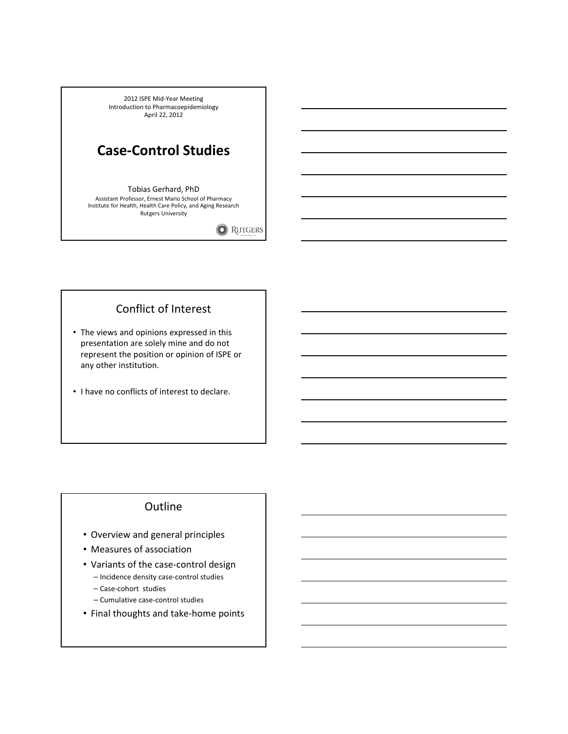2012 ISPE Mid-Year Meeting Introduction to Pharmacoepidemiology April 22, 2012

# Case-Control Studies

### Tobias Gerhard, PhD

Assistant Professor, Ernest Mario School of Pharmacy Institute for Health, Health Care Policy, and Aging Research Rutgers University

**RUTGERS** 

# Conflict of Interest

- The views and opinions expressed in this presentation are solely mine and do not represent the position or opinion of ISPE or any other institution.
- I have no conflicts of interest to declare.

### **Outline**

- Overview and general principles
- Measures of association
- Variants of the case-control design
	- Incidence density case-control studies
	- Case-cohort studies
	- Cumulative case-control studies
- Final thoughts and take-home points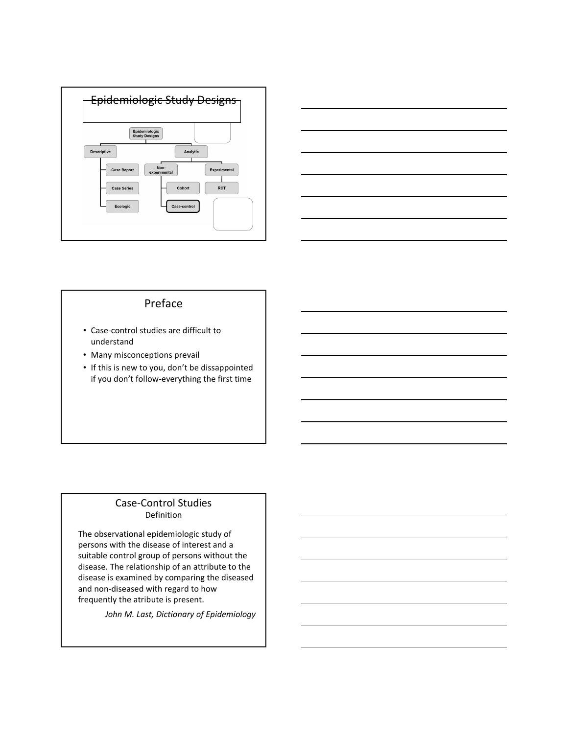



# Preface

- Case-control studies are difficult to understand
- Many misconceptions prevail
- If this is new to you, don't be dissappointed if you don't follow-everything the first time

#### Case-Control Studies Definition

The observational epidemiologic study of persons with the disease of interest and a suitable control group of persons without the disease. The relationship of an attribute to the disease is examined by comparing the diseased and non-diseased with regard to how frequently the atribute is present.

John M. Last, Dictionary of Epidemiology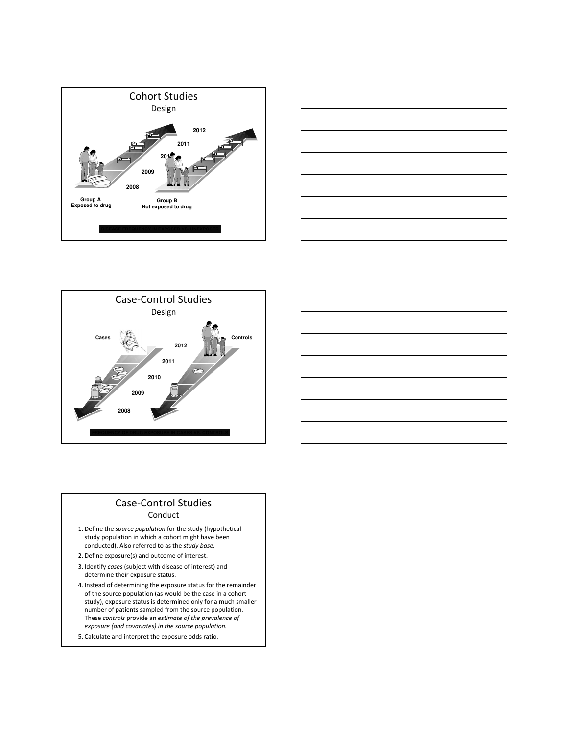





### Case-Control Studies Conduct

- 1. Define the source population for the study (hypothetical study population in which a cohort might have been conducted). Also referred to as the study base.
- 2. Define exposure(s) and outcome of interest.
- 3. Identify cases (subject with disease of interest) and determine their exposure status.
- 4. Instead of determining the exposure status for the remainder of the source population (as would be the case in a cohort study), exposure status is determined only for a much smaller number of patients sampled from the source population. These controls provide an estimate of the prevalence of exposure (and covariates) in the source population.
- 5. Calculate and interpret the exposure odds ratio.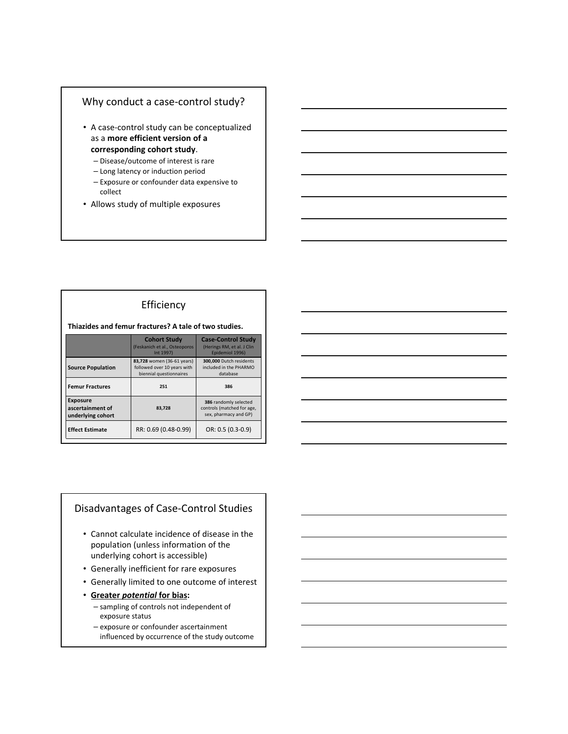### Why conduct a case-control study?

- A case-control study can be conceptualized as a more efficient version of a corresponding cohort study.
	- Disease/outcome of interest is rare
	- Long latency or induction period
	- Exposure or confounder data expensive to collect
- Allows study of multiple exposures

#### Efficiency

#### Thiazides and femur fractures? A tale of two studies.

|                                                          | <b>Cohort Study</b><br>(Feskanich et al., Osteoporos<br>Int 1997)                    | <b>Case-Control Study</b><br>(Herings RM, et al. J Clin<br>Epidemiol 1996)   |
|----------------------------------------------------------|--------------------------------------------------------------------------------------|------------------------------------------------------------------------------|
| <b>Source Population</b>                                 | 83,728 women (36-61 years)<br>followed over 10 years with<br>biennial questionnaires | 300,000 Dutch residents<br>included in the PHARMO<br>database                |
| <b>Femur Fractures</b>                                   | 251                                                                                  | 386                                                                          |
| <b>Exposure</b><br>ascertainment of<br>underlying cohort | 83.728                                                                               | 386 randomly selected<br>controls (matched for age,<br>sex, pharmacy and GP) |
| <b>Effect Estimate</b>                                   | RR: 0.69 (0.48-0.99)                                                                 | OR: 0.5 (0.3-0.9)                                                            |

# Disadvantages of Case-Control Studies

- Cannot calculate incidence of disease in the population (unless information of the underlying cohort is accessible)
- Generally inefficient for rare exposures
- Generally limited to one outcome of interest
- Greater potential for bias:
	- sampling of controls not independent of exposure status
	- exposure or confounder ascertainment influenced by occurrence of the study outcome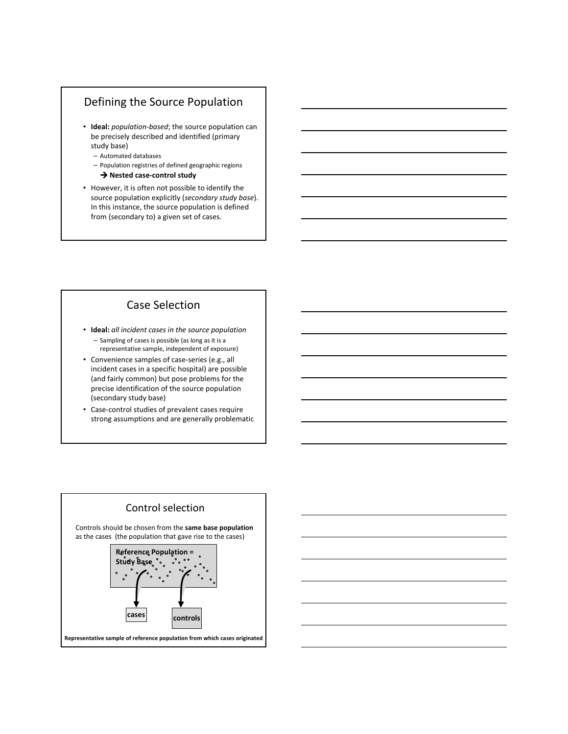# Defining the Source Population

- Ideal: population-based; the source population can be precisely described and identified (primary study base)
	- Automated databases
	- Population registries of defined geographic regions  $\rightarrow$  Nested case-control study
- However, it is often not possible to identify the source population explicitly (secondary study base). In this instance, the source population is defined from (secondary to) a given set of cases.

# Case Selection

- Ideal: all incident cases in the source population – Sampling of cases is possible (as long as it is a representative sample, independent of exposure)
- Convenience samples of case-series (e.g., all incident cases in a specific hospital) are possible (and fairly common) but pose problems for the precise identification of the source population (secondary study base)
- Case-control studies of prevalent cases require strong assumptions and are generally problematic



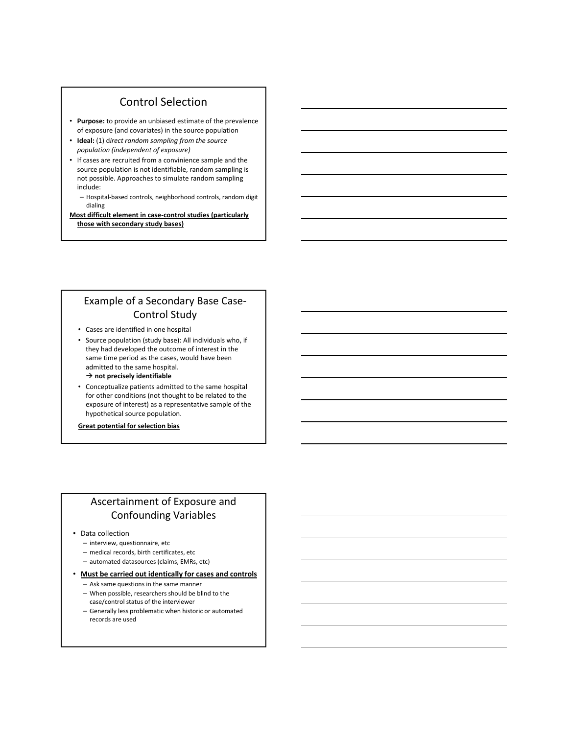# Control Selection

- Purpose: to provide an unbiased estimate of the prevalence of exposure (and covariates) in the source population
- Ideal: (1) direct random sampling from the source population (independent of exposure)
- If cases are recruited from a convinience sample and the source population is not identifiable, random sampling is not possible. Approaches to simulate random sampling include:
	- Hospital-based controls, neighborhood controls, random digit dialing

Most difficult element in case-control studies (particularly those with secondary study bases)

# Example of a Secondary Base Case-Control Study

- Cases are identified in one hospital
- Source population (study base): All individuals who, if they had developed the outcome of interest in the same time period as the cases, would have been admitted to the same hospital.  $\rightarrow$  not precisely identifiable
- Conceptualize patients admitted to the same hospital for other conditions (not thought to be related to the exposure of interest) as a representative sample of the hypothetical source population.
- Great potential for selection bias

## Ascertainment of Exposure and Confounding Variables

- Data collection
	- interview, questionnaire, etc
	- medical records, birth certificates, etc
	- automated datasources (claims, EMRs, etc)
- Must be carried out identically for cases and controls
	- Ask same questions in the same manner
	- When possible, researchers should be blind to the case/control status of the interviewer
	- Generally less problematic when historic or automated records are used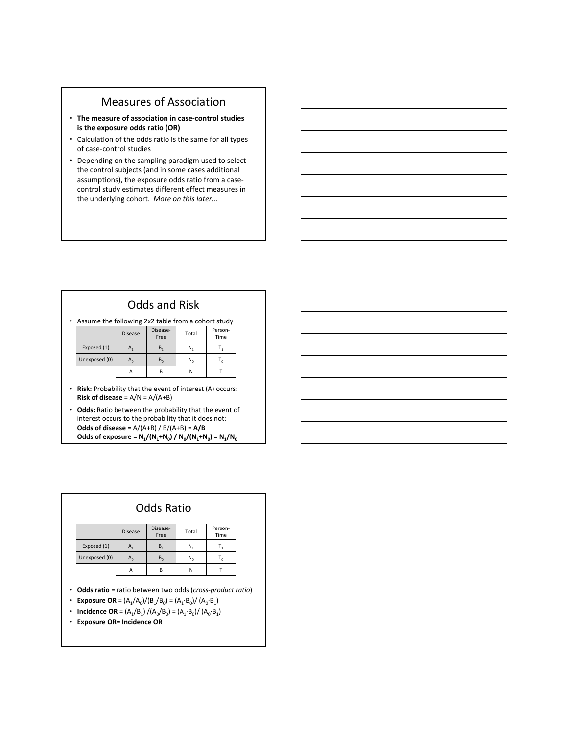# Measures of Association

- The measure of association in case-control studies is the exposure odds ratio (OR)
- Calculation of the odds ratio is the same for all types of case-control studies
- Depending on the sampling paradigm used to select the control subjects (and in some cases additional assumptions), the exposure odds ratio from a casecontrol study estimates different effect measures in the underlying cohort. More on this later...

• Assume the following 2x2 table from a cohort study

|               | <b>Disease</b> | Disease-<br>Free | Total   | Person-<br>Time |
|---------------|----------------|------------------|---------|-----------------|
| Exposed (1)   | Α,             | В,               | N,      |                 |
| Unexposed (0) | $A_0$          | $B_0$            | $N_{0}$ |                 |
|               | А              | B                | Ν       |                 |

- Risk: Probability that the event of interest (A) occurs: Risk of disease =  $A/N = A/(A+B)$
- Odds: Ratio between the probability that the event of interest occurs to the probability that it does not: Odds of disease =  $A/(A+B) / B/(A+B) = A/B$ Odds of exposure =  $N_1/(N_1+N_0) / N_0/(N_1+N_0) = N_1/N_0$

|               |                | <b>Odds Ratio</b> |       |                 |
|---------------|----------------|-------------------|-------|-----------------|
|               | <b>Disease</b> | Disease-<br>Free  | Total | Person-<br>Time |
| Exposed (1)   | Α,             | B <sub>1</sub>    | N,    | т,              |
| Unexposed (0) | $A_n$          | $B_0$             | $N_0$ | т.              |
|               | A              | B                 | N     |                 |

- Odds ratio = ratio between two odds (cross-product ratio)
- Exposure OR =  $(A_1/A_0)/(B_1/B_0) = (A_1 \cdot B_0)/(A_0 \cdot B_1)$
- Incidence OR =  $(A_1/B_1) / (A_0/B_0) = (A_1 \cdot B_0) / (A_0 \cdot B_1)$
- Exposure OR= Incidence OR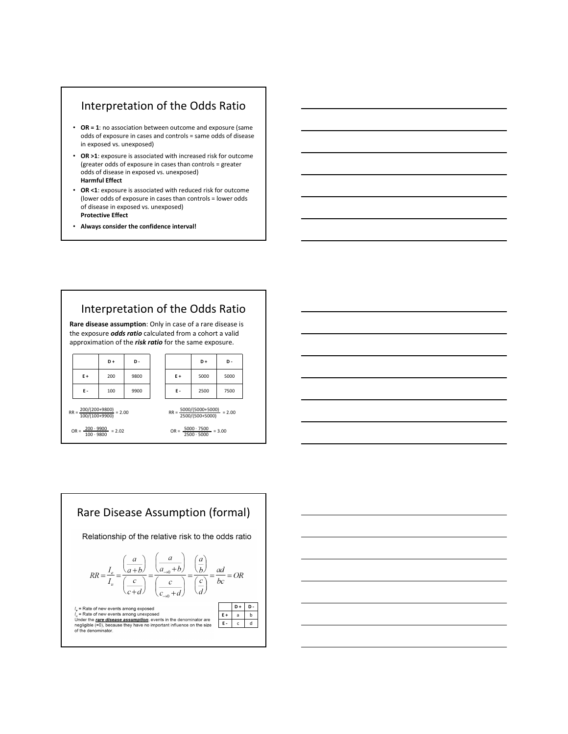## Interpretation of the Odds Ratio

- OR = 1: no association between outcome and exposure (same odds of exposure in cases and controls = same odds of disease in exposed vs. unexposed)
- OR >1: exposure is associated with increased risk for outcome (greater odds of exposure in cases than controls = greater odds of disease in exposed vs. unexposed) Harmful Effect
- OR <1: exposure is associated with reduced risk for outcome (lower odds of exposure in cases than controls = lower odds of disease in exposed vs. unexposed) Protective Effect
- Always consider the confidence interval!



 $OR = \frac{5000 \cdot 7500}{2500 \cdot 5000} = 3.00$ 

 $OR = \frac{200 \cdot 9900}{9900} = 2.02$ 100 ∙ 9800





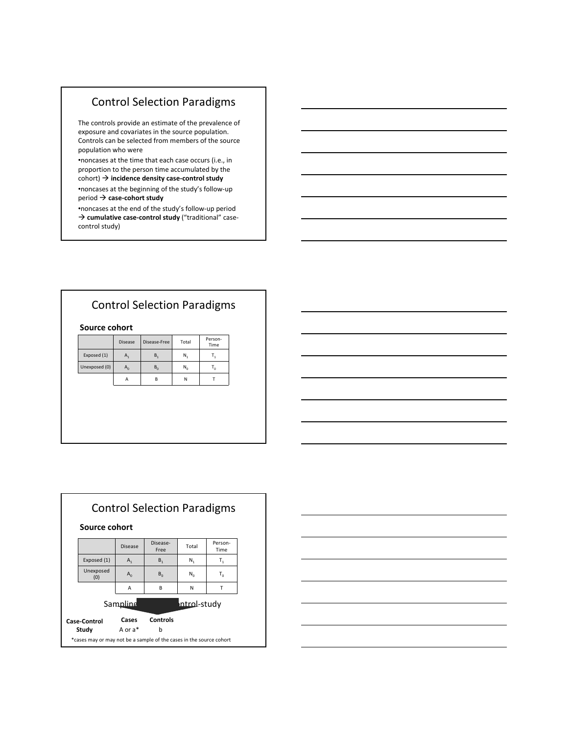# Control Selection Paradigms

The controls provide an estimate of the prevalence of exposure and covariates in the source population. Controls can be selected from members of the source population who were

•noncases at the time that each case occurs (i.e., in proportion to the person time accumulated by the  $\text{cohort)} \rightarrow \text{incidence density case-control study}$ 

•noncases at the beginning of the study's follow-up  $period \rightarrow case-color$  case-cohort study

•noncases at the end of the study's follow-up period  $\rightarrow$  cumulative case-control study ("traditional" casecontrol study)

# Control Selection Paradigms

#### Source cohort

|               | <b>Disease</b>            | Disease-Free | Total | Person-<br>Time |
|---------------|---------------------------|--------------|-------|-----------------|
| Exposed (1)   | А,                        | B,           | N,    |                 |
| Unexposed (0) | $\mathsf{A}_{\mathsf{n}}$ | $B_0$        | $N_0$ | ٠,              |
|               | А                         | B            | N     |                 |

| Source cohort                                                       |                | <b>Control Selection Paradigms</b> |                          |                 |  |
|---------------------------------------------------------------------|----------------|------------------------------------|--------------------------|-----------------|--|
|                                                                     | <b>Disease</b> | Disease-<br>Free                   | Total                    | Person-<br>Time |  |
| Exposed (1)                                                         | $A_1$          | B <sub>1</sub>                     | N,                       | $T_{1}$         |  |
| Unexposed<br>(0)                                                    | $A_0$          | $B_{n}$                            | $N_{0}$                  | $T_0$           |  |
|                                                                     | A              | B                                  | N                        | T               |  |
|                                                                     | Sampling       |                                    | <del>覇</del> ntrol-studv |                 |  |
| Case-Control                                                        | Cases          | Controls                           |                          |                 |  |
| Study                                                               | A or a*        | b                                  |                          |                 |  |
| *cases may or may not be a sample of the cases in the source cohort |                |                                    |                          |                 |  |

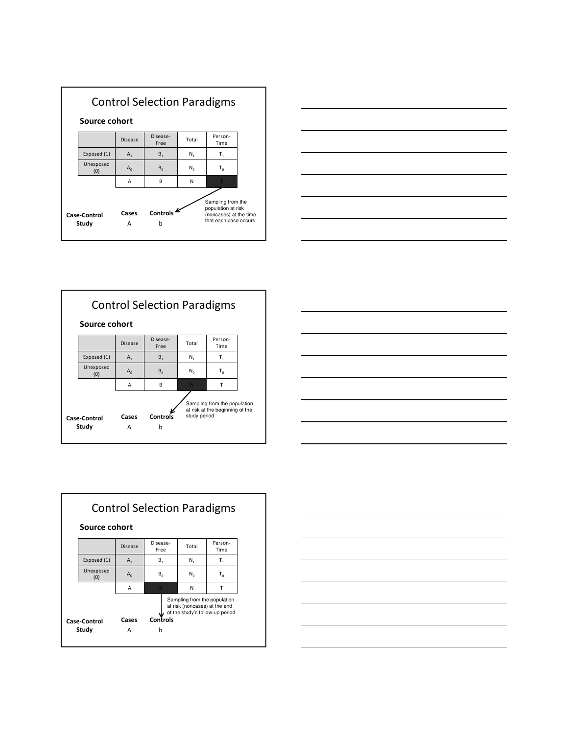









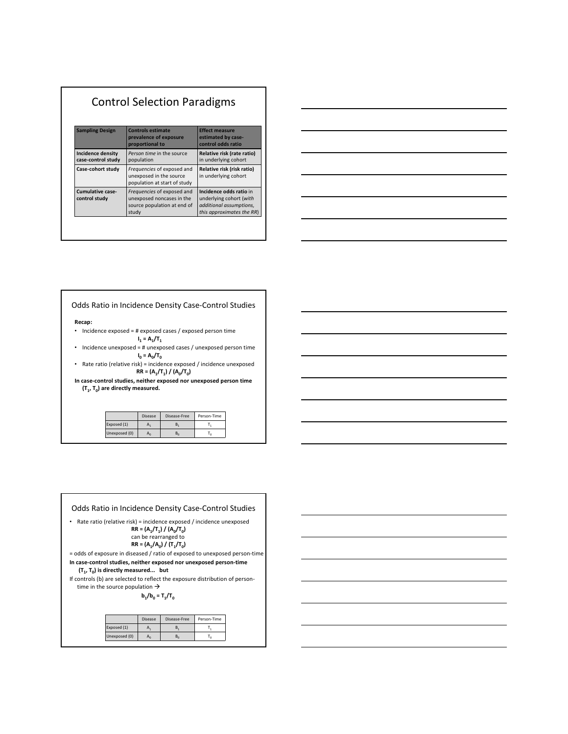| <b>Control Selection Paradigms</b>             |                                                                                                 |                                                                                                            |
|------------------------------------------------|-------------------------------------------------------------------------------------------------|------------------------------------------------------------------------------------------------------------|
| <b>Sampling Design</b>                         | <b>Controls estimate</b><br>prevalence of exposure<br>proportional to                           | <b>Effect measure</b><br>estimated by case-<br>control odds ratio                                          |
| <b>Incidence density</b><br>case-control study | Person time in the source<br>population                                                         | Relative risk (rate ratio)<br>in underlying cohort                                                         |
| Case-cohort study                              | Frequencies of exposed and<br>unexposed in the source<br>population at start of study           | Relative risk (risk ratio)<br>in underlying cohort                                                         |
| Cumulative case-<br>control study              | Frequencies of exposed and<br>unexposed noncases in the<br>source population at end of<br>study | Incidence odds ratio in<br>underlying cohort (with<br>additional assumptions,<br>this approximates the RR) |



# Odds Ratio in Incidence Density Case-Control Studies

Recap:

- Incidence exposed = # exposed cases / exposed person time  $I_1 = A_1/T_1$
- Incidence unexposed = # unexposed cases / unexposed person time  $I_0 = A_0/T_0$
- Rate ratio (relative risk) = incidence exposed / incidence unexposed  $RR = (A_1/T_1) / (A_0/T_0)$
- In case-control studies, neither exposed nor unexposed person time  $(T_1, T_0)$  are directly measured.

|               | <b>Disease</b> | Disease-Free | Person-Time |
|---------------|----------------|--------------|-------------|
| Exposed (1)   |                |              |             |
| Unexposed (0) |                |              |             |

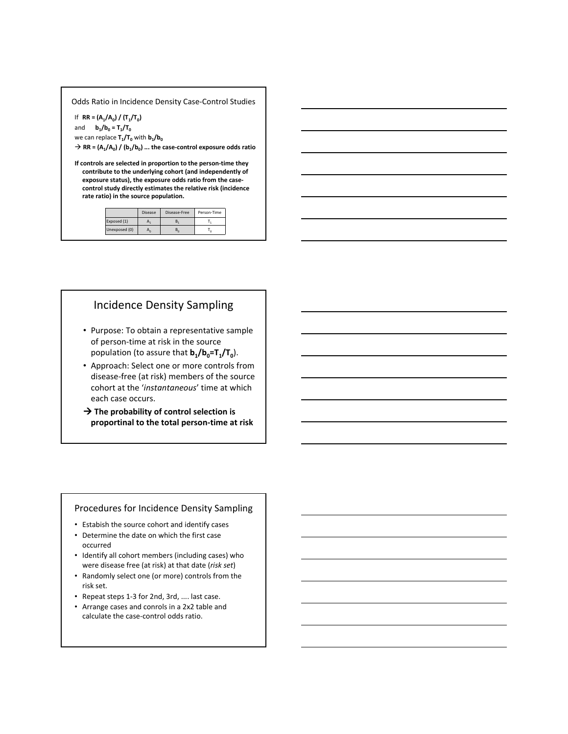Odds Ratio in Incidence Density Case-Control Studies

If  $RR = (A_1/A_0) / (T_1/T_0)$ 

and  $b_1/b_0 = T_1/T_0$ 

we can replace  $\mathsf{T}_1/\mathsf{T}_0$  with  $\mathsf{b}_1/\mathsf{b}_0$ 

 $\rightarrow$  RR = (A<sub>1</sub>/A<sub>0</sub>) / (b<sub>1</sub>/b<sub>0</sub>) ... the case-control exposure odds ratio

If controls are selected in proportion to the person-time they contribute to the underlying cohort (and independently of exposure status), the exposure odds ratio from the casecontrol study directly estimates the relative risk (incidence rate ratio) in the source population.

|               | <b>Disease</b> | Disease-Free | Person-Time |
|---------------|----------------|--------------|-------------|
| Exposed (1)   |                |              |             |
| Unexposed (0) |                |              |             |

# Incidence Density Sampling

- Purpose: To obtain a representative sample of person-time at risk in the source population (to assure that  $\mathsf{b}_1/\mathsf{b}_0 = \mathsf{T}_1/\mathsf{T}_0$ ).
- Approach: Select one or more controls from disease-free (at risk) members of the source cohort at the 'instantaneous' time at which each case occurs.
- $\rightarrow$  The probability of control selection is proportinal to the total person-time at risk

#### Procedures for Incidence Density Sampling

- Estabish the source cohort and identify cases
- Determine the date on which the first case occurred
- Identify all cohort members (including cases) who were disease free (at risk) at that date (risk set)
- Randomly select one (or more) controls from the risk set.
- Repeat steps 1-3 for 2nd, 3rd, .... last case.
- Arrange cases and conrols in a 2x2 table and calculate the case-control odds ratio.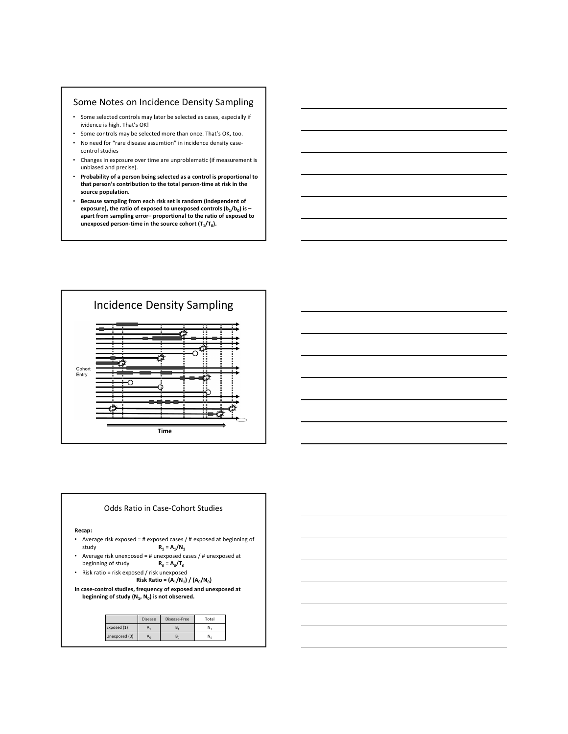#### Some Notes on Incidence Density Sampling

- Some selected controls may later be selected as cases, especially if ividence is high. That's OK!
- Some controls may be selected more than once. That's OK, too. • No need for "rare disease assumtion" in incidence density casecontrol studies
- Changes in exposure over time are unproblematic (if measurement is unbiased and precise).
- Probability of a person being selected as a control is proportional to that person's contribution to the total person-time at risk in the source population.
- Because sampling from each risk set is random (independent of exposure), the ratio of exposed to unexposed controls (b $_{1}/\rm b_{0})$  is – apart from sampling error– proportional to the ratio of exposed to unexposed person-time in the source cohort  $(T_1/T_0)$ .





| <u> 1989 - Johann Stoff, deutscher Stoffen und der Stoffen und der Stoffen und der Stoffen und der Stoffen und de</u> |  |  |
|-----------------------------------------------------------------------------------------------------------------------|--|--|
|                                                                                                                       |  |  |
| <u> 1989 - Johann Stoff, amerikansk politiker (d. 1989)</u>                                                           |  |  |
|                                                                                                                       |  |  |
| <u> 1989 - Johann Stoff, deutscher Stoff, der Stoff, der Stoff, der Stoff, der Stoff, der Stoff, der Stoff, der S</u> |  |  |
|                                                                                                                       |  |  |
| <u> 1989 - Andrea Santa Andrea Andrea Andrea Andrea Andrea Andrea Andrea Andrea Andrea Andrea Andrea Andrea Andr</u>  |  |  |
|                                                                                                                       |  |  |
| <u> 1989 - Andrea Santa Andrea Andrea Andrea Andrea Andrea Andrea Andrea Andrea Andrea Andrea Andrea Andrea Andr</u>  |  |  |
|                                                                                                                       |  |  |
|                                                                                                                       |  |  |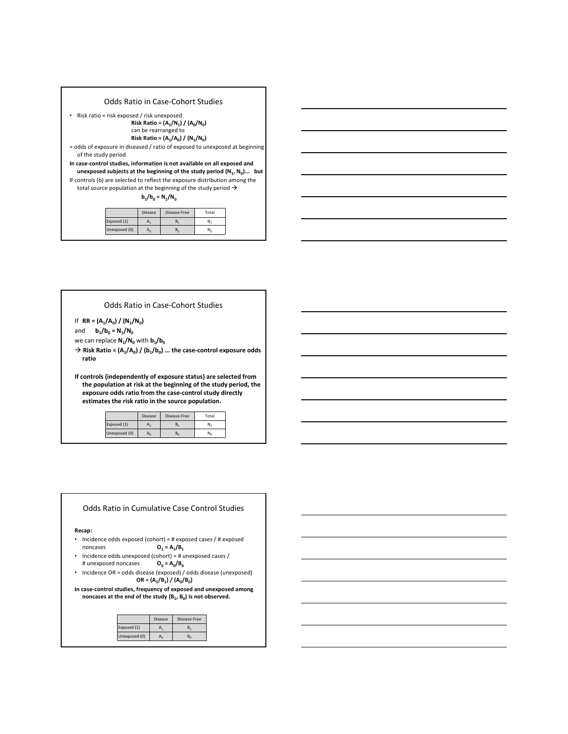| Odds Ratio in Case-Cohort Studies                                                                                                                         |
|-----------------------------------------------------------------------------------------------------------------------------------------------------------|
| Risk ratio = risk exposed / risk unexposed<br>Risk Ratio = $(A_1/N_1) / (A_0/N_0)$<br>can be rearranged to<br>Risk Ratio = $(A_1/A_0) / (N_1/N_0)$        |
| $=$ odds of exposure in diseased / ratio of exposed to unexposed at beginning<br>of the study period                                                      |
| In case-control studies, information is not available on all exposed and<br>unexposed subjects at the beginning of the study period $(N_1, N_0)$ but      |
| If controls (b) are selected to reflect the exposure distribution among the<br>total source population at the beginning of the study period $\rightarrow$ |
| $b_1/b_0 = N_1/N_0$                                                                                                                                       |
|                                                                                                                                                           |

|               | <b>Disease</b> | Disease-Free | Total        |
|---------------|----------------|--------------|--------------|
| Exposed (1)   | A              |              | N            |
| Unexposed (0) |                |              | $N_{\alpha}$ |



Odds Ratio in Case-Cohort Studies

If  $RR = (A_1/A_0) / (N_1/N_0)$ 

and  $b_1/b_0 = N_1/N_0$ we can replace  $\mathsf{N}_1/\mathsf{N}_0$  with  $\mathsf{b}_1/\mathsf{b}_0$ 

 $\rightarrow$  Risk Ratio = (A<sub>1</sub>/A<sub>0</sub>) / (b<sub>1</sub>/b<sub>0</sub>) ... the case-control exposure odds ratio

If controls (independently of exposure status) are selected from the population at risk at the beginning of the study period, the exposure odds ratio from the case-control study directly estimates the risk ratio in the source population.

|               | Disease | Disease-Free | Total |
|---------------|---------|--------------|-------|
| Exposed (1)   |         |              |       |
| Unexposed (0) | Η0      | ь.           |       |

#### Recap: • Incidence odds exposed (cohort) = # exposed cases / # exposed noncases  $= A_1/B_1$ • Incidence odds unexposed (cohort) = # unexposed cases / # unexposed noncases  $= A_0/B_0$ • Incidence OR = odds disease (exposed) / odds disease (unexposed)  $OR = (A_1/B_1) / (A_0/B_0)$ In case-control studies, frequency of exposed and unexposed among noncases at the end of the study  $(B_1, B_0)$  is not observed. Disease Disease-Free Exposed (1)  $A_1$   $B_1$ Unexposed (0)  $A_0$   $B_0$ Odds Ratio in Cumulative Case Control Studies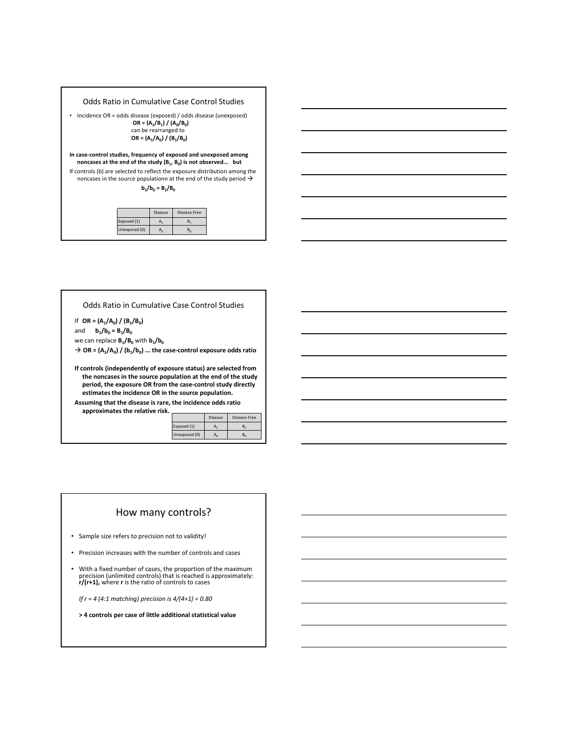| Odds Ratio in Cumulative Case Control Studies                                                                                                                  |  |  |  |  |
|----------------------------------------------------------------------------------------------------------------------------------------------------------------|--|--|--|--|
| Incidence OR = odds disease (exposed) / odds disease (unexposed)<br>$OR = (A_1/B_1) / (A_0/B_0)$<br>can be rearranged to<br>OR = $(A_1/A_0) / (B_1/B_0)$       |  |  |  |  |
| In case-control studies, frequency of exposed and unexposed among<br>noncases at the end of the study $(B_1, B_0)$ is not observed but                         |  |  |  |  |
| If controls (b) are selected to reflect the exposure distribution among the<br>noncases in the source populationn at the end of the study period $\rightarrow$ |  |  |  |  |
| $b_1/b_0 = B_1/B_0$                                                                                                                                            |  |  |  |  |
|                                                                                                                                                                |  |  |  |  |
| R<br>Printed and Police                                                                                                                                        |  |  |  |  |

|               | <b>Disease</b> | Disease-Free |
|---------------|----------------|--------------|
| Exposed (1)   |                |              |
| Unexposed (0) |                |              |

Odds Ratio in Cumulative Case Control Studies

If  $OR = (A_1/A_0) / (B_1/B_0)$ and  $b_1/b_0 = B_1/B_0$ 

Г

we can replace  $\mathsf{B}_1/\mathsf{B}_0$  with  $\mathsf{b}_1/\mathsf{b}_0$ 

 $\rightarrow$  OR = (A<sub>1</sub>/A<sub>0</sub>) / (b<sub>1</sub>/b<sub>0</sub>) ... the case-control exposure odds ratio

If controls (independently of exposure status) are selected from the noncases in the source population at the end of the study period, the exposure OR from the case-control study directly estimates the incidence OR in the source population.

Assuming that the disease is rare, the incidence odds ratio approximates the relative risk.

|               | <b>Disease</b> | Disease-Free |
|---------------|----------------|--------------|
| Exposed (1)   |                | R            |
| Unexposed (0) |                | ъ.           |

#### How many controls?

• Sample size refers to precision not to validity!

- Precision increases with the number of controls and cases
- With a fixed number of cases, the proportion of the maximum<br>precision (unlimited controls) that is reached is approximately:<br> $r/(r+1)$ , where r is the ratio of controls to cases

If  $r = 4$  (4:1 matching) precision is  $4/(4+1) = 0.80$ 

> 4 controls per case of little additional statistical value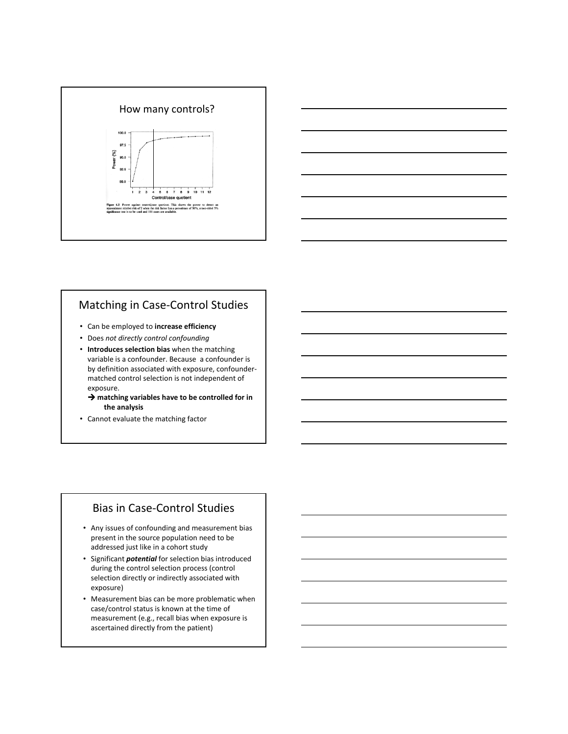



# Matching in Case-Control Studies

- Can be employed to increase efficiency
- Does not directly control confounding
- Introduces selection bias when the matching variable is a confounder. Because a confounder is by definition associated with exposure, confoundermatched control selection is not independent of exposure.
	- $\rightarrow$  matching variables have to be controlled for in the analysis
- Cannot evaluate the matching factor

### Bias in Case-Control Studies

- Any issues of confounding and measurement bias present in the source population need to be addressed just like in a cohort study
- Significant *potential* for selection bias introduced during the control selection process (control selection directly or indirectly associated with exposure)
- Measurement bias can be more problematic when case/control status is known at the time of measurement (e.g., recall bias when exposure is ascertained directly from the patient)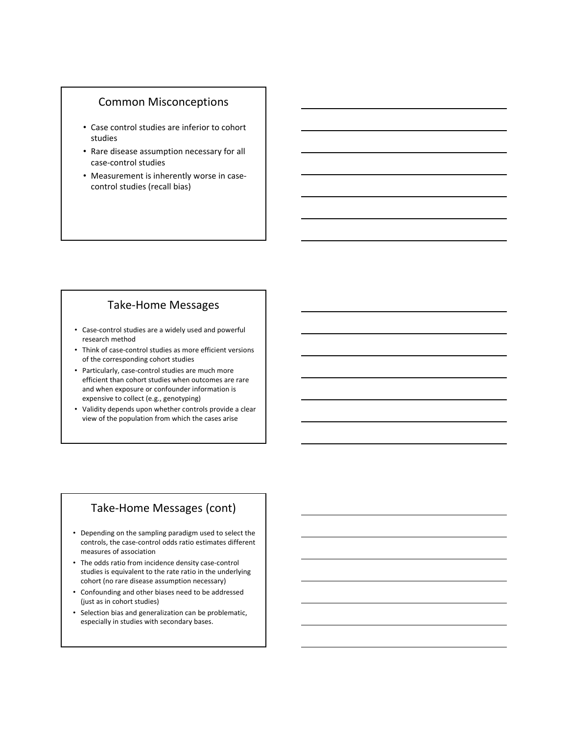### Common Misconceptions

- Case control studies are inferior to cohort studies
- Rare disease assumption necessary for all case-control studies
- Measurement is inherently worse in casecontrol studies (recall bias)

# Take-Home Messages

- Case-control studies are a widely used and powerful research method
- Think of case-control studies as more efficient versions of the corresponding cohort studies
- Particularly, case-control studies are much more efficient than cohort studies when outcomes are rare and when exposure or confounder information is expensive to collect (e.g., genotyping)
- Validity depends upon whether controls provide a clear view of the population from which the cases arise

# Take-Home Messages (cont)

- Depending on the sampling paradigm used to select the controls, the case-control odds ratio estimates different measures of association
- The odds ratio from incidence density case-control studies is equivalent to the rate ratio in the underlying cohort (no rare disease assumption necessary)
- Confounding and other biases need to be addressed (just as in cohort studies)
- Selection bias and generalization can be problematic, especially in studies with secondary bases.